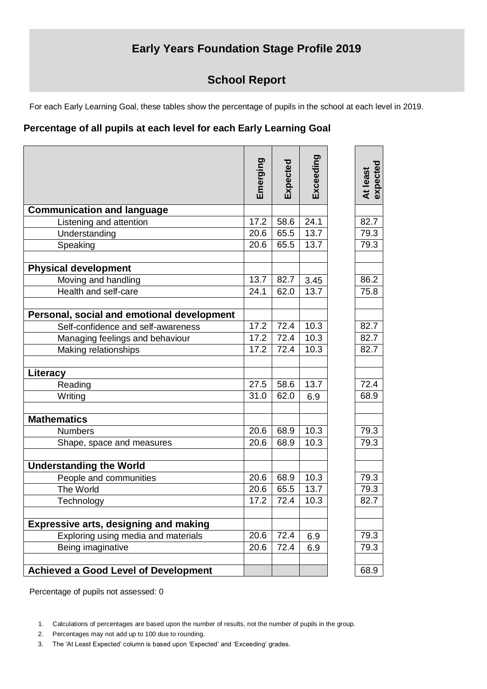## **Early Years Foundation Stage Profile 2019**

## **School Report**

For each Early Learning Goal, these tables show the percentage of pupils in the school at each level in 2019.

## **Percentage of all pupils at each level for each Early Learning Goal**

|                                              | Emerging | Expected | Exceeding | expected |
|----------------------------------------------|----------|----------|-----------|----------|
|                                              |          |          |           | At least |
| <b>Communication and language</b>            |          |          |           |          |
| Listening and attention                      | 17.2     | 58.6     | 24.1      | 82.7     |
| Understanding                                | 20.6     | 65.5     | 13.7      | 79.3     |
| Speaking                                     | 20.6     | 65.5     | 13.7      | 79.3     |
| <b>Physical development</b>                  |          |          |           |          |
| Moving and handling                          | 13.7     | 82.7     | 3.45      | 86.2     |
| Health and self-care                         | 24.1     | 62.0     | 13.7      | 75.8     |
| Personal, social and emotional development   |          |          |           |          |
| Self-confidence and self-awareness           | 17.2     | 72.4     | 10.3      | 82.7     |
| Managing feelings and behaviour              | 17.2     | 72.4     | 10.3      | 82.7     |
| Making relationships                         | 17.2     | 72.4     | 10.3      | 82.7     |
| Literacy                                     |          |          |           |          |
| Reading                                      | 27.5     | 58.6     | 13.7      | 72.4     |
| Writing                                      | 31.0     | 62.0     | 6.9       | 68.9     |
| <b>Mathematics</b>                           |          |          |           |          |
| <b>Numbers</b>                               | 20.6     | 68.9     | 10.3      | 79.3     |
| Shape, space and measures                    | 20.6     | 68.9     | 10.3      | 79.3     |
| <b>Understanding the World</b>               |          |          |           |          |
| People and communities                       | 20.6     | 68.9     | 10.3      | 79.3     |
| The World                                    | 20.6     | 65.5     | 13.7      | 79.3     |
| Technology                                   | 17.2     | 72.4     | 10.3      | 82.7     |
| <b>Expressive arts, designing and making</b> |          |          |           |          |
| Exploring using media and materials          | 20.6     | 72.4     | 6.9       | 79.3     |
| Being imaginative                            | 20.6     | 72.4     | 6.9       | 79.3     |
| <b>Achieved a Good Level of Development</b>  |          |          |           | 68.9     |

Percentage of pupils not assessed: 0

- 2. Percentages may not add up to 100 due to rounding.
- 3. The 'At Least Expected' column is based upon 'Expected' and 'Exceeding' grades.

<sup>1.</sup> Calculations of percentages are based upon the number of results, not the number of pupils in the group.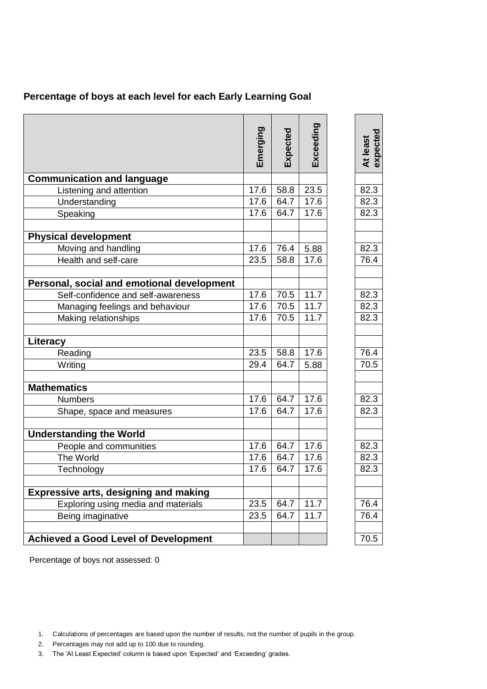|  |  | Percentage of boys at each level for each Early Learning Goal |  |
|--|--|---------------------------------------------------------------|--|
|--|--|---------------------------------------------------------------|--|

|                                              | Emerging | Expected | Exceeding | expected<br>At least |
|----------------------------------------------|----------|----------|-----------|----------------------|
|                                              |          |          |           |                      |
| <b>Communication and language</b>            |          |          |           |                      |
| Listening and attention                      | 17.6     | 58.8     | 23.5      | 82.3                 |
| Understanding                                | 17.6     | 64.7     | 17.6      | 82.3                 |
| Speaking                                     | 17.6     | 64.7     | 17.6      | 82.3                 |
| <b>Physical development</b>                  |          |          |           |                      |
| Moving and handling                          | 17.6     | 76.4     | 5.88      | 82.3                 |
| Health and self-care                         | 23.5     | 58.8     | 17.6      | 76.4                 |
| Personal, social and emotional development   |          |          |           |                      |
| Self-confidence and self-awareness           | 17.6     | 70.5     | 11.7      | 82.3                 |
| Managing feelings and behaviour              | 17.6     | 70.5     | 11.7      | 82.3                 |
| Making relationships                         | 17.6     | 70.5     | 11.7      | 82.3                 |
| Literacy                                     |          |          |           |                      |
| Reading                                      | 23.5     | 58.8     | 17.6      | 76.4                 |
| Writing                                      | 29.4     | 64.7     | 5.88      | 70.5                 |
| <b>Mathematics</b>                           |          |          |           |                      |
| <b>Numbers</b>                               | 17.6     | 64.7     | 17.6      | 82.3                 |
| Shape, space and measures                    | 17.6     | 64.7     | 17.6      | 82.3                 |
| <b>Understanding the World</b>               |          |          |           |                      |
| People and communities                       | 17.6     | 64.7     | 17.6      | 82.3                 |
| The World                                    | 17.6     | 64.7     | 17.6      | 82.3                 |
| Technology                                   | 17.6     | 64.7     | 17.6      | 82.3                 |
|                                              |          |          |           |                      |
| <b>Expressive arts, designing and making</b> |          |          |           |                      |
| Exploring using media and materials          | 23.5     | 64.7     | 11.7      | 76.4                 |
| Being imaginative                            | 23.5     | 64.7     | 11.7      | 76.4                 |
| <b>Achieved a Good Level of Development</b>  |          |          |           | 70.5                 |

Percentage of boys not assessed: 0

- 2. Percentages may not add up to 100 due to rounding.
- 3. The 'At Least Expected' column is based upon 'Expected' and 'Exceeding' grades.

<sup>1.</sup> Calculations of percentages are based upon the number of results, not the number of pupils in the group.